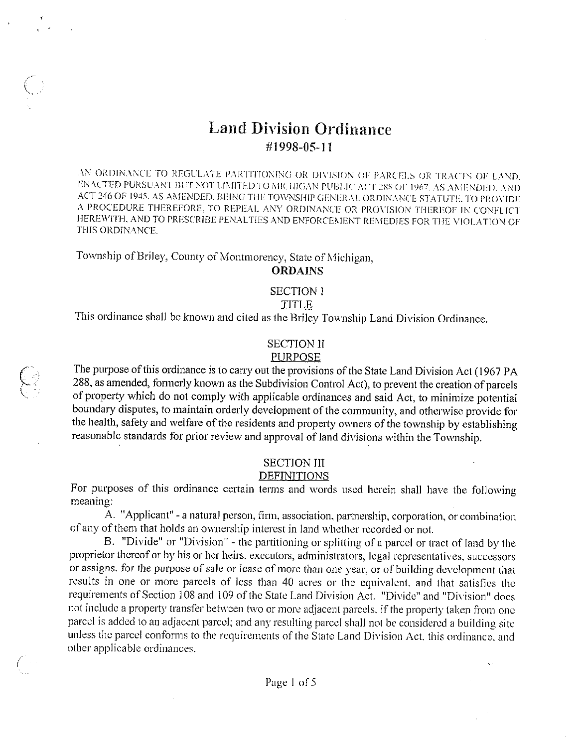## Land Division Ordinance #1998-05-11

AN ORDINANCE TO REGULATE PARTITIONING OR DIVISION OF PARCELS OR TRACES OF LAND. ENACTED PURSUANT BUT NOT LIMITED TO MICHIGAN PUBLIC ACT 288 OF 1967. AS AMENDED, AND ACT246 OF 1945. AS AMENDED. BEING THE TOWNSHIP GENERAL ORDINANCE STATUTE. TO PROVIDE A PROCEDURE THEREFORE. TO REPEAL ANY ORDINANCE OR PROVISION THEREOF IN CONFLICT HEREWITH, AND TO PRESCRIBE PENALTIES AND ENFORCEMENT REMEDIES FOR THE VIOLATION OF THIS ORDINANCE.

Township of Briley, County of Montmorency, State of Michigan,

#### ORDAINS

#### SECTION <sup>1</sup>

#### TITLE

This ordinance shall be known and cited as the Briley Township Land Division Ordinance.

## SECTION <sup>11</sup>

#### PURPOSE

The purpose of this ordinance is to carry out the provisions of the State Land Division Act (1967 PA 288, as amended, formerly known as the Subdivision Control Act), to prevent the creation of parcels of property which do not comply with applicable ordinances and said Act, to minimize potential boundary disputes, to maintain orderly development of the community, and otherwise provide for the health, safety and welfare of the residents and propeity owners of the township by establishing reasonable standards for prior review and approval of land divisions within the Township.

#### SECTION III

#### DEFINITIONS

For purposes of this ordinance certain terms and words used herein shall have the following meaning:

A. "Applicant" - a natural person, firm, association, partnership, corporation, or combination of any of them that holds an ownership interest in land whether recorded or not.

B. "Divide" or "Division" - the partitioning or splitting of a parcel or tract of land by the proprietor thereof or by his or her heirs, executors, administrators, legal representatives, successors or assigns, for the purpose of sale or lease of more than one year, or of building development that results in one or more parcels of less than 40 acres or the equivalent, and that satisfies the requirements of Section 108 and 109 of the State Land Division Act. "Divide" and "Division" does not include <sup>a</sup> property transfer between two or more adjacent parcels, if the property taken from one parcel is added to an adjacent parcel; and any resulting parcel shall not be considered <sup>a</sup> building site unless the parcel conforms to the requirements of the State Land Division Act, this ordinance, and other applicable ordinances.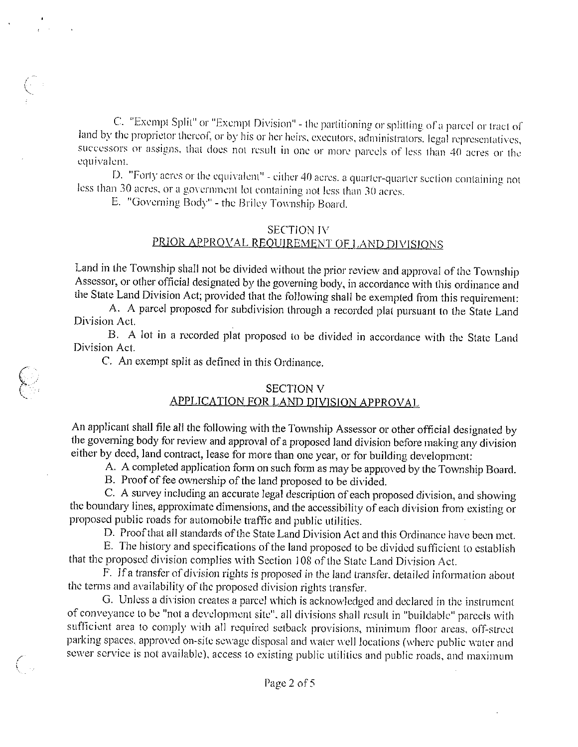C. "Exempt Split" or "Exempt Division" - the partitioning or splitting of a parcel or tract of land by the proprietor thereof, or by his or her heirs, executors, administrators. legal representatives, successors or assigns, that does not result in one or more parcels of less than 40 acres or the equivalent.

D. "Forty acres or the equivalent" - either 40 acres, <sup>a</sup> quarter-quarter section containing not less than 30 acres, or a government lot containing not less than 30 acres.

E. "Governing Body" - the Briley Township Board.

#### SECTION IV PRIOR APPROVAL REOUJREMENT OF LAND DIVISIONS

Land in the Township shall not be divided without the prior review and approval of the Township Assessor, or other official designated by the governing body, in accordance with this ordinance and the State Land Division Act; provided that the following shall be exempted from this requirement:

A. A parcel proposed for subdivision through <sup>a</sup> recorded plat pursuant to the State Land Division Act.

B. A lot in <sup>a</sup> recorded plat proposed to be divided in accordance with the State Land Division Act.

C. An exempt split as defined in this Ordinance.

#### SECTION V

### APPLICATION FOR LAND DIVISION APPROVAL

An applicant shall file all the following with the Township Assessor or other official designated by the governing body for review and approval of <sup>a</sup> proposed land division before making any division either by deed, land contract, lease for more than one year, or for building development:

A. A completed application form on such form as may be approved by the Township Board.

B. Proof of fee ownership of the land proposed to be divided.

C. A survey including an accurate legal description of each proposed division, and showing the boundary lines, approximate dimensions, and the accessibility of each division from existing or proposed public roads for automobile traffic and public utilities.

D. Proofthat all standards of the State Land Division Act and this Ordinance have been met.

F. The history and specifications of the land proposed to be divided sufficient to establish that the proposed division complies with Section 108 of the State Land Division Act.

F. Wa transfer of division rights is proposed in the land transfer, detailed information about the terms and availability of the proposed division rights transfer.

G. Linless <sup>a</sup> division creates <sup>a</sup> parcel which is acknowledged and declared in the instrument of conveyance to be "not <sup>a</sup> development site", all divisions shall result in "huildable" parcels with sufficient area to comply with all required setback provisions, minimum floor areas, off-street parking spaces, approved on-site sewage disposal and water well locations (where public water and sewer service is not available), access to existing public utilities and public roads, and maximum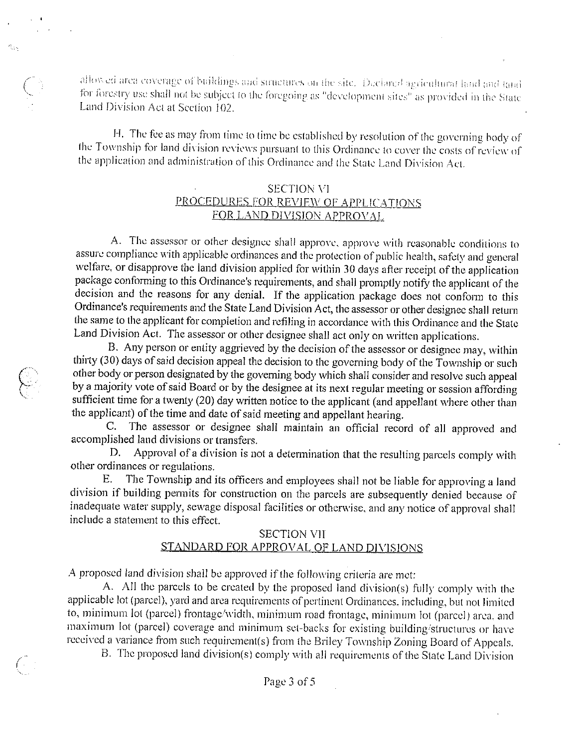allowed area coverage of buildings and structures on the site. Declared agricultural land and fand for forestry use shall not be subject to the foregoing as "development sites" as provided in the State Land Division Act at Section 102.

榄绿

H. The fee as may from time to time be established by resolution of the governing body of the Township for land division reviews pursuant to this Ordinance to cover the costs of review of the application and administration of this Ordinance and the State Land Division Act.

#### SECTION VI PROCEDURES FOR REVIEW OF APPLICATIONS FOR LAND DIVISJON APPROVAL

A. The assessor or other designee shall approve, approve with reasonable conditions to assure compliance with applicable ordinances and the protection of public health, safety and general welfare, or disapprove the land division applied for within 30 days after receipt of the application package conforming to this Ordinance's requirements, and shall promptly notify the applicant of the decision and the reasons for any denial. If the application package does not conform to this Ordinance's requirements and the State Land Division Act, the assessor or other designee shall return the same to the applicant for completion and refiling in accordance with this Ordinance and the State Land Division Act. The assessor or other designee shall act only on written applications.

B. Any person or entity aggrieved by the decision of the assessor or designee may, within thirty (30) days of said decision appeal the decision to the governing body of the Township or such other body or person designated by the governing body which shall consider and resolve such appeal by <sup>a</sup> majority vote of said Board or by the designee at its next regular meeting or session affording sufficient time for <sup>a</sup> twenty (20) day written notice to the applicant (and appellant where other than the applicant) of the time and date of said meeting and appellant hearing.

C. The assessor or designee shall maintain an official record of all approved and accomplished land divisions or transfers.

D. Approval of <sup>a</sup> division is not <sup>a</sup> determination that the resulting parcels comply with other ordinances or regulations.

F. The Township and its officers and employees shall not be liable for approving <sup>a</sup> land division if building permits for construction on the parcels are subsequently denied because of inadequate water supply, sewage disposal facilities or otherwise, and any notice of approval shall include <sup>a</sup> statement to this effect.

#### SECTION V]i STANDARD FOR APPROVAL OF LAND DIVISIONS

A proposed land division shall be approved if the following criteria are met:

A. All the parcels to be created by the proposed land division(s) fully comply with the applicable lot (parcel), yard and area requirements of pertinent Ordinances, including, but not limited to, minimum lot (parcel) frontage/width, minimum road frontage, minimum lot (parcel) area. and maximum lot (parcel) coverage and minimum set-backs for existing building/structures or have received <sup>a</sup> variance from such requirement(s) from the Briley Township Zoning Board of Appeals.

B. The proposed land division(s) comply with all requirements of the State Land Division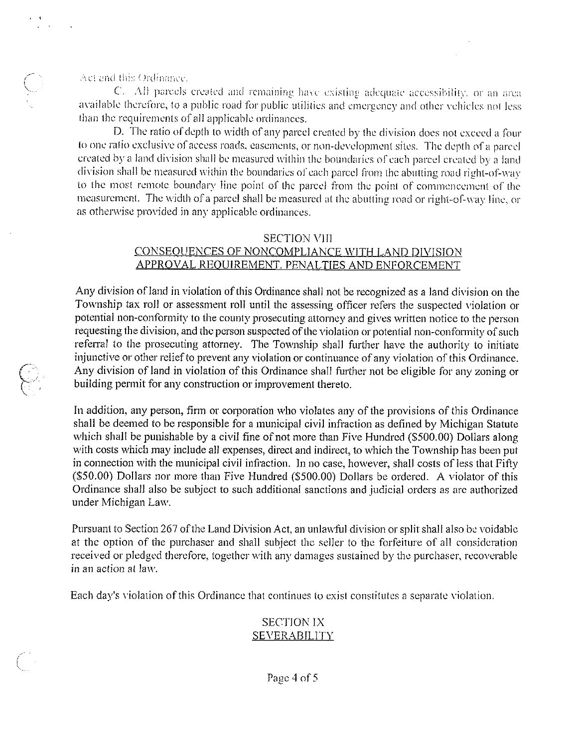Act and this Ordinance.

C. All parcels created and remaining have existing adequate accessibility, or an area available therefore, to a public road for public utilities and emergency and other vehicles not less than the requirements of all applicable ordinances.

D. The ratio of depth to width of any parcel created by the division does not exceed a four to one ratio exclusive of access roads, easements, or non-development sites. The depth of a parcel created by a land division shall be measured within the boundaries of each parcel created by a land division shall be measured within the boundaries of each parcel from the abutting road right-of-way to the most remote boundary line point of the parcel from the point of commencement of the measurement. The width of a parcel shall be measured at the abutting road or right-of-way line, or as otherwise provided in any applicable ordinances.

#### **SECTION VIII**

#### CONSEQUENCES OF NONCOMPLIANCE WITH LAND DIVISION APPROVAL REQUIREMENT, PENALTIES AND ENFORCEMENT

Any division of land in violation of this Ordinance shall not be recognized as a land division on the Township tax roll or assessment roll until the assessing officer refers the suspected violation or potential non-conformity to the county prosecuting attorney and gives written notice to the person requesting the division, and the person suspected of the violation or potential non-conformity of such referral to the prosecuting attorney. The Township shall further have the authority to initiate injunctive or other relief to prevent any violation or continuance of any violation of this Ordinance. Any division of land in violation of this Ordinance shall further not be eligible for any zoning or building permit for any construction or improvement thereto.

In addition, any person, firm or corporation who violates any of the provisions of this Ordinance shall be deemed to be responsible for a municipal civil infraction as defined by Michigan Statute which shall be punishable by a civil fine of not more than Five Hundred (\$500.00) Dollars along with costs which may include all expenses, direct and indirect, to which the Township has been put in connection with the municipal civil infraction. In no case, however, shall costs of less that Fifty (\$50.00) Dollars nor more than Five Hundred (\$500.00) Dollars be ordered. A violator of this Ordinance shall also be subject to such additional sanctions and judicial orders as are authorized under Michigan Law.

Pursuant to Section 267 of the Land Division Act, an unlawful division or split shall also be voidable at the option of the purchaser and shall subject the seller to the forfeiture of all consideration received or pledged therefore, together with any damages sustained by the purchaser, recoverable in an action at law.

Each day's violation of this Ordinance that continues to exist constitutes a separate violation.

#### **SECTION IX SEVERABILITY**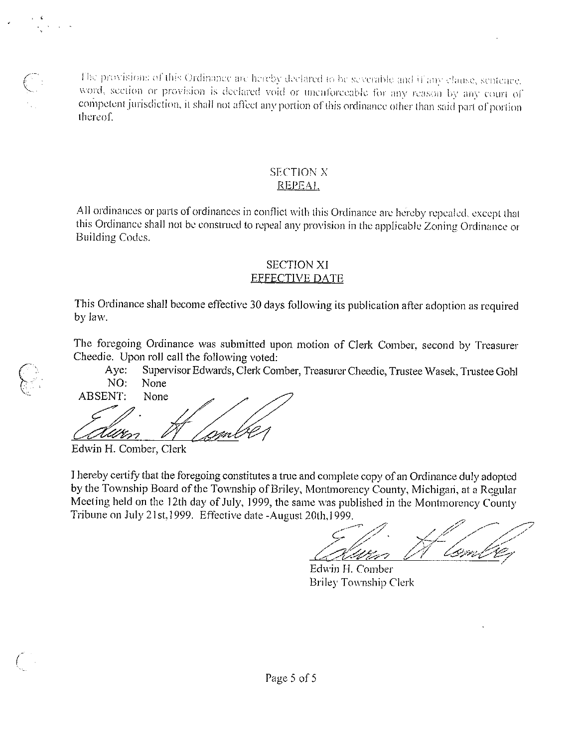The provisions of this Ordinance are hereby declared to be severable and if any clause, sentence. word, section or provision is declared void or unenforceable for any reason by any court of competent jurisdiction, it shall not affect any portion of this ordinance other than said part of portion thereof.

#### SECTION N **REPEAL**

this Ordinance shall not be construed to repeal any provision in the applicable Zoning Ordinance or Building Codes All ordinances or parts of ordinances in conflict with this Ordinance are hereby repealed, except that

#### EFFECTIVE DATE SECTION Xl

This Ordinance shall become effective 30 days following its publication after adoption as required by law.

The foregoing Ordinance was submitted upon motion of Clerk Comber, second by Treasurer Cheedie. Upon roll call the following voted:

Aye: Supervisor Edwards, Clerk Comber, Treasurer Cheedie, Trustee Wasek, Trustee Gohl NO: None

**ABSENT:** None Uten

Edwin H. Comber, Clerk

I

I hereby certify that the foregoing constitutes a true and complete copy of an Ordinance duly adopted by the Township Board of the Township of Briley, Montmorency County, Michigan, at a Regular Meeting held on the 12th day of July, 1999, the same was published in the Montmorency County Tribune on July 21st, 1999. Effective date -August 20th, 1999.

 $\frac{1}{2}$   $\frac{1}{2}$   $\frac{1}{2}$ <u>Zalum A landre</u>

Edwin H. Comber Briley Township Clerk